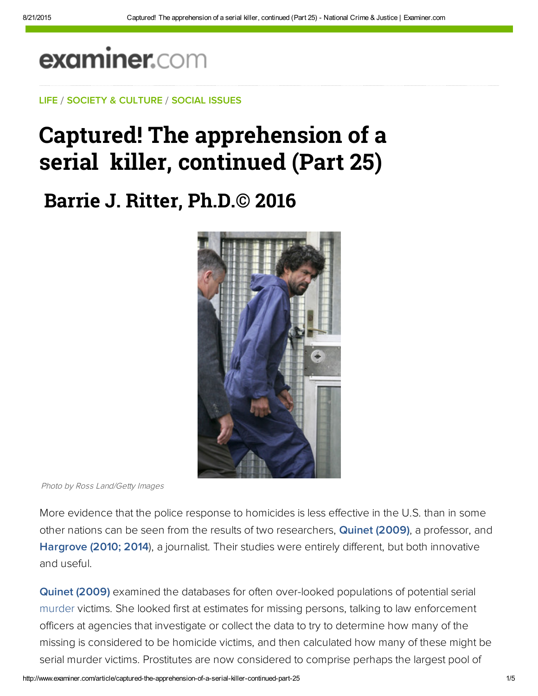# examiner.com

LIFE / SOCIETY & CULTURE / SOCIAL ISSUES

## Captured! The apprehension of a serial killer, continued (Part 25)

**Barrie J. Ritter, Ph.D.© 2016**



Photo by Ross Land/Getty Images

More evidence that the police response to homicides is less effective in the U.S. than in some other nations can be seen from the results of two researchers, **[Quinet \(2009\)](http://hsx.sagepub.com/content/11/4/319.abstract)**, a professor, and [Hargrove \(2010; 2014](http://www.deseretnews.com/article/700035190/Nearly-185000-murders-in-US-since-1980-remain-unsolved.html?pg=all
http://bit.ly/1FMzjUY)), a journalist. Their studies were entirely different, but both innovative and useful.

[Quinet \(2009\)](http://hsx.sagepub.com/content/11/4/319.abstract) examined the databases for often over-looked populations of potential serial murder victims. She looked first at estimates for missing persons, talking to law enforcement officers at agencies that investigate or collect the data to try to determine how many of the missing is considered to be homicide victims, and then calculated how many of these might be serial murder victims. Prostitutes are now considered to comprise perhaps the largest pool of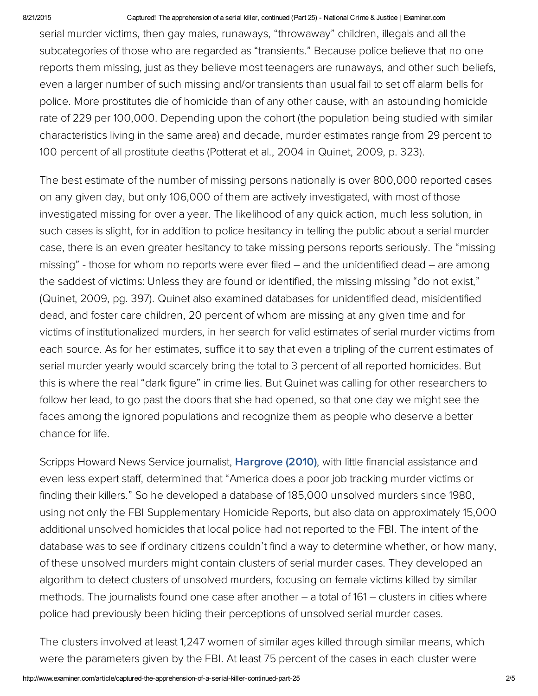#### 8/21/2015 Captured! The apprehension of a serial killer, continued (Part 25) National Crime & Justice | Examiner.com

serial murder victims, then gay males, runaways, "throwaway" children, illegals and all the subcategories of those who are regarded as "transients." Because police believe that no one reports them missing, just as they believe most teenagers are runaways, and other such beliefs, even a larger number of such missing and/or transients than usual fail to set off alarm bells for police. More prostitutes die of homicide than of any other cause, with an astounding homicide rate of 229 per 100,000. Depending upon the cohort (the population being studied with similar characteristics living in the same area) and decade, murder estimates range from 29 percent to 100 percent of all prostitute deaths (Potterat et al., 2004 in Quinet, 2009, p. 323).

The best estimate of the number of missing persons nationally is over 800,000 reported cases on any given day, but only 106,000 of them are actively investigated, with most of those investigated missing for over a year. The likelihood of any quick action, much less solution, in such cases is slight, for in addition to police hesitancy in telling the public about a serial murder case, there is an even greater hesitancy to take missing persons reports seriously. The "missing missing" - those for whom no reports were ever filed – and the unidentified dead – are among the saddest of victims: Unless they are found or identified, the missing missing "do not exist," (Quinet, 2009, pg. 397). Quinet also examined databases for unidentified dead, misidentified dead, and foster care children, 20 percent of whom are missing at any given time and for victims of institutionalized murders, in her search for valid estimates of serial murder victims from each source. As for her estimates, suffice it to say that even a tripling of the current estimates of serial murder yearly would scarcely bring the total to 3 percent of all reported homicides. But this is where the real "dark figure" in crime lies. But Quinet was calling for other researchers to follow her lead, to go past the doors that she had opened, so that one day we might see the faces among the ignored populations and recognize them as people who deserve a better chance for life.

Scripps Howard News Service journalist, **[Hargrove](http://bit.ly/1CXEQGm) (2010)**, with little financial assistance and even less expert staff, determined that "America does a poor job tracking murder victims or finding their killers." So he developed a database of 185,000 unsolved murders since 1980, using not only the FBI Supplementary Homicide Reports, but also data on approximately 15,000 additional unsolved homicides that local police had not reported to the FBI. The intent of the database was to see if ordinary citizens couldn't find a way to determine whether, or how many, of these unsolved murders might contain clusters of serial murder cases. They developed an algorithm to detect clusters of unsolved murders, focusing on female victims killed by similar methods. The journalists found one case after another – a total of 161 – clusters in cities where police had previously been hiding their perceptions of unsolved serial murder cases.

The clusters involved at least 1,247 women of similar ages killed through similar means, which were the parameters given by the FBI. At least 75 percent of the cases in each cluster were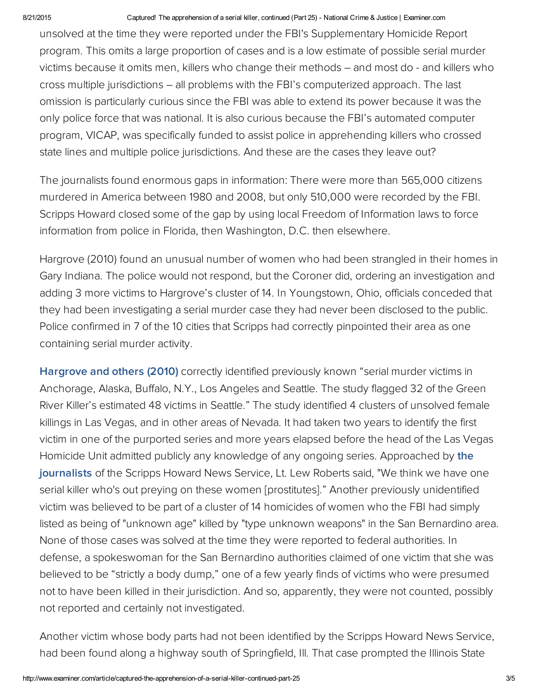#### 8/21/2015 Captured! The apprehension of a serial killer, continued (Part 25) National Crime & Justice | Examiner.com

unsolved at the time they were reported under the FBI's Supplementary Homicide Report program. This omits a large proportion of cases and is a low estimate of possible serial murder victims because it omits men, killers who change their methods – and most do - and killers who cross multiple jurisdictions – all problems with the FBI's computerized approach. The last omission is particularly curious since the FBI was able to extend its power because it was the only police force that was national. It is also curious because the FBI's automated computer program, VICAP, was specifically funded to assist police in apprehending killers who crossed state lines and multiple police jurisdictions. And these are the cases they leave out?

The journalists found enormous gaps in information: There were more than 565,000 citizens murdered in America between 1980 and 2008, but only 510,000 were recorded by the FBI. Scripps Howard closed some of the gap by using local Freedom of Information laws to force information from police in Florida, then Washington, D.C. then elsewhere.

Hargrove (2010) found an unusual number of women who had been strangled in their homes in Gary Indiana. The police would not respond, but the Coroner did, ordering an investigation and adding 3 more victims to Hargrove's cluster of 14. In Youngstown, Ohio, officials conceded that they had been investigating a serial murder case they had never been disclosed to the public. Police confirmed in 7 of the 10 cities that Scripps had correctly pinpointed their area as one containing serial murder activity.

[Hargrove](http://www.deseretnews.com/article/700035190/Nearly-185000-murders-in-US-since-1980-remain-unsolved.html?pg=all
http://bit.ly/1FMzjUY) and others (2010) correctly identified previously known "serial murder victims in Anchorage, Alaska, Buffalo, N.Y., Los Angeles and Seattle. The study flagged 32 of the Green River Killer's estimated 48 victims in Seattle." The study identified 4 clusters of unsolved female killings in Las Vegas, and in other areas of Nevada. It had taken two years to identify the first victim in one of the purported series and more years elapsed before the head of the Las Vegas Homicide Unit admitted publicly any knowledge of any ongoing series. [Approached](http://bit.ly/1FO32wk) by the journalists of the Scripps Howard News Service, Lt. Lew Roberts said, "We think we have one serial killer who's out preying on these women [prostitutes]." Another previously unidentified victim was believed to be part of a cluster of 14 homicides of women who the FBI had simply listed as being of "unknown age" killed by "type unknown weapons" in the San Bernardino area. None of those cases was solved at the time they were reported to federal authorities. In defense, a spokeswoman for the San Bernardino authorities claimed of one victim that she was believed to be "strictly a body dump," one of a few yearly finds of victims who were presumed not to have been killed in their jurisdiction. And so, apparently, they were not counted, possibly not reported and certainly not investigated.

Another victim whose body parts had not been identified by the Scripps Howard News Service, had been found along a highway south of Springfield, Ill. That case prompted the Illinois State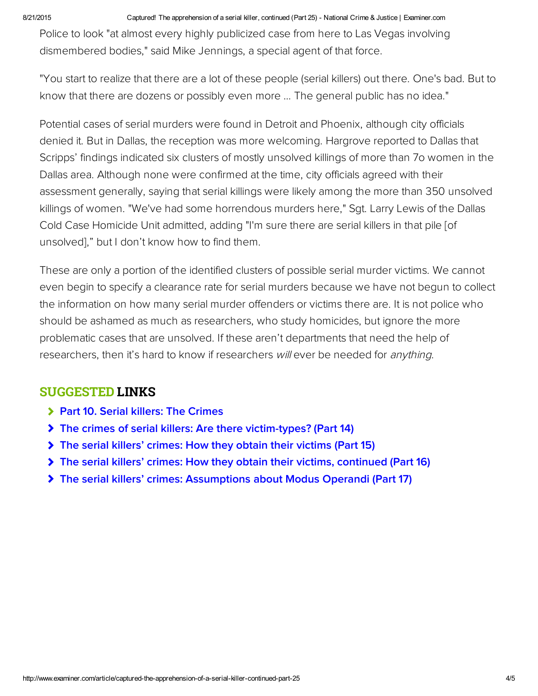#### 8/21/2015 Captured! The apprehension of a serial killer, continued (Part 25) National Crime & Justice | Examiner.com

Police to look "at almost every highly publicized case from here to Las Vegas involving dismembered bodies," said Mike Jennings, a special agent of that force.

"You start to realize that there are a lot of these people (serial killers) out there. One's bad. But to know that there are dozens or possibly even more … The general public has no idea."

Potential cases of serial murders were found in Detroit and Phoenix, although city officials denied it. But in Dallas, the reception was more welcoming. Hargrove reported to Dallas that Scripps' findings indicated six clusters of mostly unsolved killings of more than 7o women in the Dallas area. Although none were confirmed at the time, city officials agreed with their assessment generally, saying that serial killings were likely among the more than 350 unsolved killings of women. "We've had some horrendous murders here," Sgt. Larry Lewis of the Dallas Cold Case Homicide Unit admitted, adding "I'm sure there are serial killers in that pile [of unsolved]," but I don't know how to find them.

These are only a portion of the identified clusters of possible serial murder victims. We cannot even begin to specify a clearance rate for serial murders because we have not begun to collect the information on how many serial murder offenders or victims there are. It is not police who should be ashamed as much as researchers, who study homicides, but ignore the more problematic cases that are unsolved. If these aren't departments that need the help of researchers, then it's hard to know if researchers will ever be needed for *anything*.

### SUGGESTED LINKS

- > [Part 10. Serial killers: The Crimes](http://www.ritterhomicideresearch.com/articles/Part-10.pdf)
- [The crimes of serial killers: Are there victim-types? \(Part 14\)](http://www.ritterhomicideresearch.com/articles/Part-14.pdf)
- [The serial killers' crimes: How they obtain their victims \(Part 15\)](http://www.ritterhomicideresearch.com/articles/Part-15.pdf)
- [The serial killers' crimes: How they obtain their victims, continued \(Part 16\)](http://www.ritterhomicideresearch.com/articles/Part-16.pdf)
- [The serial killers' crimes: Assumptions about Modus Operandi \(Part 17\)](http://www.ritterhomicideresearch.com/articles/Part-17.pdf)